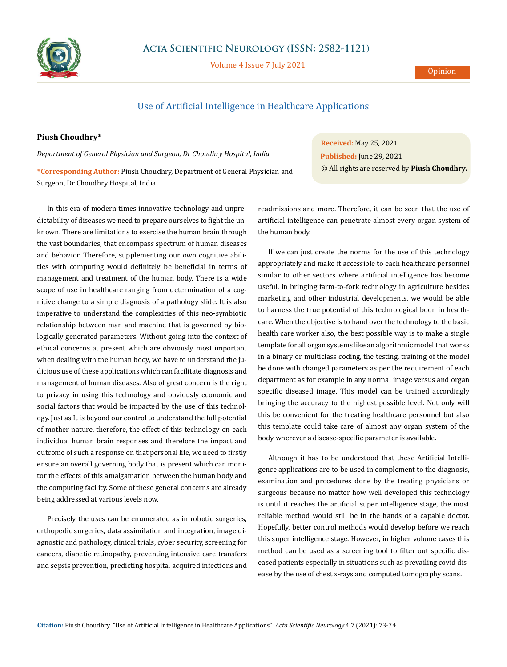

## **Acta Scientific Neurology (ISSN: 2582-1121)**

Volume 4 Issue 7 July 2021

## **Opinion**

## Use of Artificial Intelligence in Healthcare Applications

## **Piush Choudhry\***

*Department of General Physician and Surgeon, Dr Choudhry Hospital, India*

**\*Corresponding Author:** Piush Choudhry, Department of General Physician and Surgeon, Dr Choudhry Hospital, India.

In this era of modern times innovative technology and unpredictability of diseases we need to prepare ourselves to fight the unknown. There are limitations to exercise the human brain through the vast boundaries, that encompass spectrum of human diseases and behavior. Therefore, supplementing our own cognitive abilities with computing would definitely be beneficial in terms of management and treatment of the human body. There is a wide scope of use in healthcare ranging from determination of a cognitive change to a simple diagnosis of a pathology slide. It is also imperative to understand the complexities of this neo-symbiotic relationship between man and machine that is governed by biologically generated parameters. Without going into the context of ethical concerns at present which are obviously most important when dealing with the human body, we have to understand the judicious use of these applications which can facilitate diagnosis and management of human diseases. Also of great concern is the right to privacy in using this technology and obviously economic and social factors that would be impacted by the use of this technology. Just as It is beyond our control to understand the full potential of mother nature, therefore, the effect of this technology on each individual human brain responses and therefore the impact and outcome of such a response on that personal life, we need to firstly ensure an overall governing body that is present which can monitor the effects of this amalgamation between the human body and the computing facility. Some of these general concerns are already being addressed at various levels now.

Precisely the uses can be enumerated as in robotic surgeries, orthopedic surgeries, data assimilation and integration, image diagnostic and pathology, clinical trials, cyber security, screening for cancers, diabetic retinopathy, preventing intensive care transfers and sepsis prevention, predicting hospital acquired infections and © All rights are reserved by **Piush Choudhry***.*

readmissions and more. Therefore, it can be seen that the use of artificial intelligence can penetrate almost every organ system of the human body.

**Received:** May 25, 2021 **Published:** June 29, 2021

If we can just create the norms for the use of this technology appropriately and make it accessible to each healthcare personnel similar to other sectors where artificial intelligence has become useful, in bringing farm-to-fork technology in agriculture besides marketing and other industrial developments, we would be able to harness the true potential of this technological boon in healthcare. When the objective is to hand over the technology to the basic health care worker also, the best possible way is to make a single template for all organ systems like an algorithmic model that works in a binary or multiclass coding, the testing, training of the model be done with changed parameters as per the requirement of each department as for example in any normal image versus and organ specific diseased image. This model can be trained accordingly bringing the accuracy to the highest possible level. Not only will this be convenient for the treating healthcare personnel but also this template could take care of almost any organ system of the body wherever a disease-specific parameter is available.

Although it has to be understood that these Artificial Intelligence applications are to be used in complement to the diagnosis, examination and procedures done by the treating physicians or surgeons because no matter how well developed this technology is until it reaches the artificial super intelligence stage, the most reliable method would still be in the hands of a capable doctor. Hopefully, better control methods would develop before we reach this super intelligence stage. However, in higher volume cases this method can be used as a screening tool to filter out specific diseased patients especially in situations such as prevailing covid disease by the use of chest x-rays and computed tomography scans.